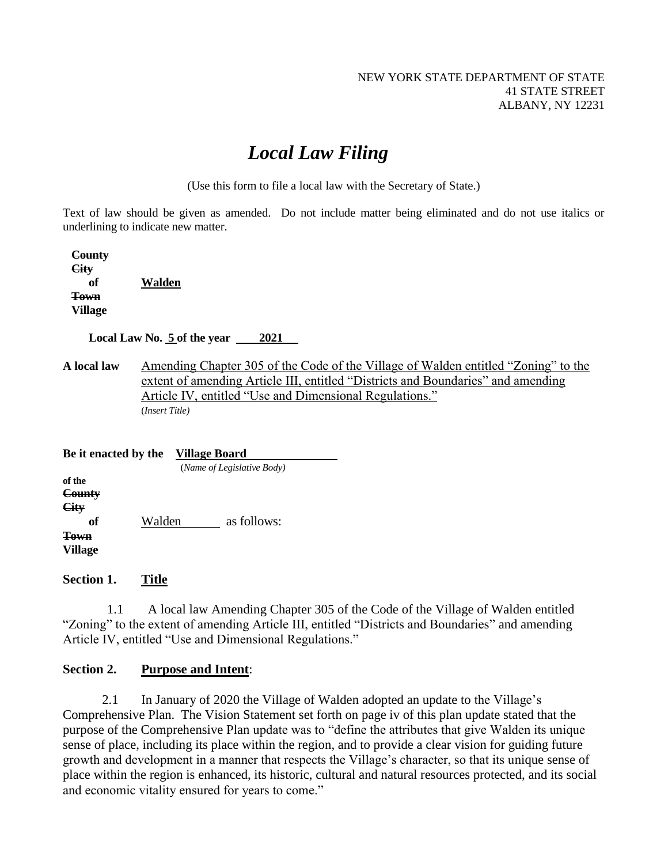# *Local Law Filing*

(Use this form to file a local law with the Secretary of State.)

Text of law should be given as amended. Do not include matter being eliminated and do not use italics or underlining to indicate new matter.

 **County City of Walden Town Village**

 **Local Law No. 5 of the year 2021**

**A local law** Amending Chapter 305 of the Code of the Village of Walden entitled "Zoning" to the extent of amending Article III, entitled "Districts and Boundaries" and amending Article IV, entitled "Use and Dimensional Regulations." (*Insert Title)*

| Be it enacted by the                                            |        | Village Board              |             |  |  |  |  |
|-----------------------------------------------------------------|--------|----------------------------|-------------|--|--|--|--|
|                                                                 |        | (Name of Legislative Body) |             |  |  |  |  |
| of the<br>County<br>City<br>оf<br><b>Town</b><br><b>Village</b> | Walden |                            | as follows: |  |  |  |  |

**Section 1. Title**

1.1 A local law Amending Chapter 305 of the Code of the Village of Walden entitled "Zoning" to the extent of amending Article III, entitled "Districts and Boundaries" and amending Article IV, entitled "Use and Dimensional Regulations."

## **Section 2. Purpose and Intent**:

2.1 In January of 2020 the Village of Walden adopted an update to the Village's Comprehensive Plan. The Vision Statement set forth on page iv of this plan update stated that the purpose of the Comprehensive Plan update was to "define the attributes that give Walden its unique sense of place, including its place within the region, and to provide a clear vision for guiding future growth and development in a manner that respects the Village's character, so that its unique sense of place within the region is enhanced, its historic, cultural and natural resources protected, and its social and economic vitality ensured for years to come."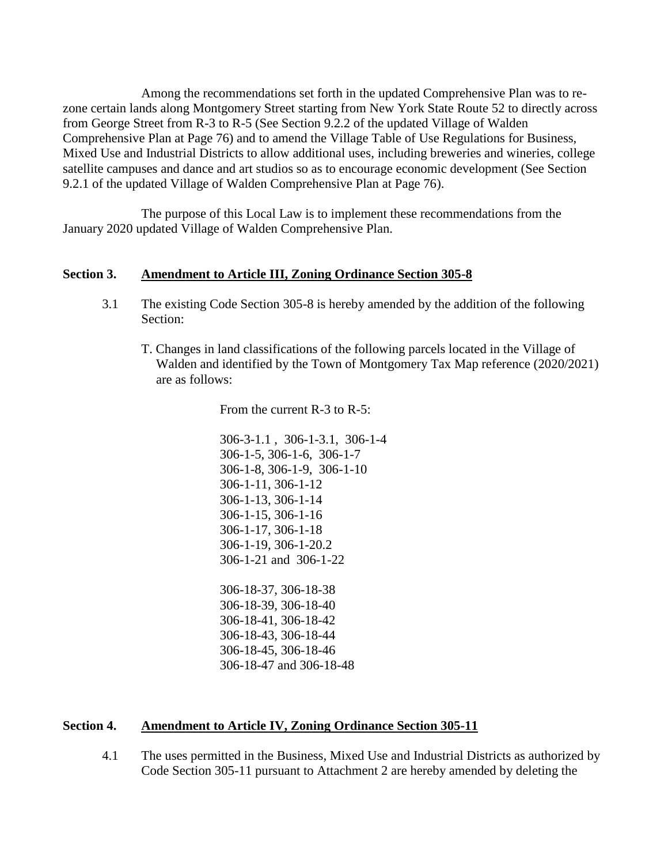Among the recommendations set forth in the updated Comprehensive Plan was to rezone certain lands along Montgomery Street starting from New York State Route 52 to directly across from George Street from R-3 to R-5 (See Section 9.2.2 of the updated Village of Walden Comprehensive Plan at Page 76) and to amend the Village Table of Use Regulations for Business, Mixed Use and Industrial Districts to allow additional uses, including breweries and wineries, college satellite campuses and dance and art studios so as to encourage economic development (See Section 9.2.1 of the updated Village of Walden Comprehensive Plan at Page 76).

The purpose of this Local Law is to implement these recommendations from the January 2020 updated Village of Walden Comprehensive Plan.

## **Section 3. Amendment to Article III, Zoning Ordinance Section 305-8**

- 3.1 The existing Code Section 305-8 is hereby amended by the addition of the following Section:
	- T. Changes in land classifications of the following parcels located in the Village of Walden and identified by the Town of Montgomery Tax Map reference (2020/2021) are as follows:

From the current R-3 to R-5:

306-3-1.1 , 306-1-3.1, 306-1-4 306-1-5, 306-1-6, 306-1-7 306-1-8, 306-1-9, 306-1-10 306-1-11, 306-1-12 306-1-13, 306-1-14 306-1-15, 306-1-16 306-1-17, 306-1-18 306-1-19, 306-1-20.2 306-1-21 and 306-1-22 306-18-37, 306-18-38 306-18-39, 306-18-40 306-18-41, 306-18-42 306-18-43, 306-18-44 306-18-45, 306-18-46 306-18-47 and 306-18-48

## **Section 4. Amendment to Article IV, Zoning Ordinance Section 305-11**

4.1 The uses permitted in the Business, Mixed Use and Industrial Districts as authorized by Code Section 305-11 pursuant to Attachment 2 are hereby amended by deleting the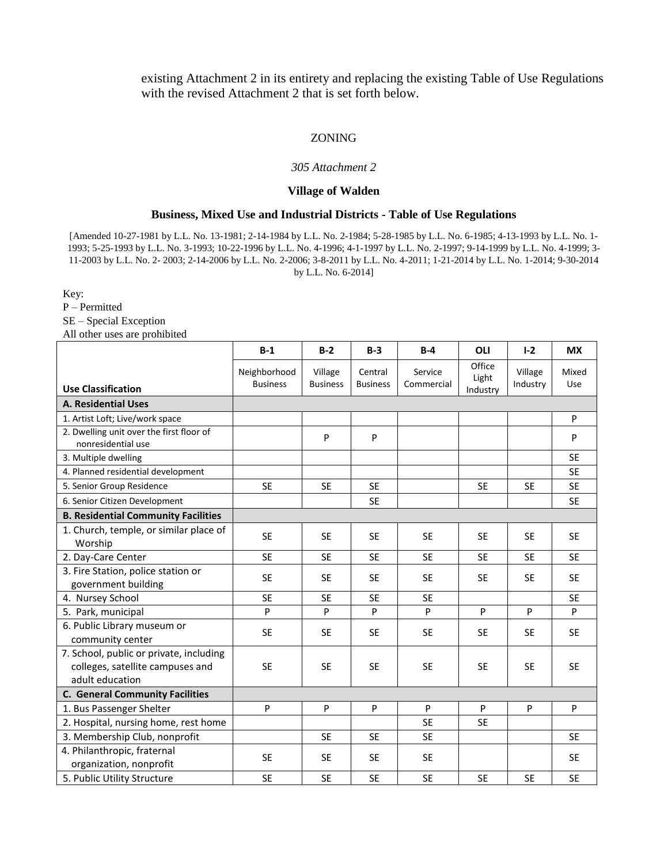existing Attachment 2 in its entirety and replacing the existing Table of Use Regulations with the revised Attachment 2 that is set forth below.

#### ZONING

#### *305 Attachment 2*

#### **Village of Walden**

#### **Business, Mixed Use and Industrial Districts - Table of Use Regulations**

[Amended 10-27-1981 by L.L. No. 13-1981; 2-14-1984 by L.L. No. 2-1984; 5-28-1985 by L.L. No. 6-1985; 4-13-1993 by L.L. No. 1- 1993; 5-25-1993 by L.L. No. 3-1993; 10-22-1996 by L.L. No. 4-1996; 4-1-1997 by L.L. No. 2-1997; 9-14-1999 by L.L. No. 4-1999; 3- 11-2003 by L.L. No. 2- 2003; 2-14-2006 by L.L. No. 2-2006; 3-8-2011 by L.L. No. 4-2011; 1-21-2014 by L.L. No. 1-2014; 9-30-2014 by L.L. No. 6-2014]

Key:

P – Permitted

SE – Special Exception

All other uses are prohibited

|                                                                                                | $B-1$                           | $B-2$                      | $B-3$                      | $B-4$                 | OLI                         | $1-2$               | <b>MX</b>    |
|------------------------------------------------------------------------------------------------|---------------------------------|----------------------------|----------------------------|-----------------------|-----------------------------|---------------------|--------------|
| <b>Use Classification</b>                                                                      | Neighborhood<br><b>Business</b> | Village<br><b>Business</b> | Central<br><b>Business</b> | Service<br>Commercial | Office<br>Light<br>Industry | Village<br>Industry | Mixed<br>Use |
| <b>A. Residential Uses</b>                                                                     |                                 |                            |                            |                       |                             |                     |              |
| 1. Artist Loft; Live/work space                                                                |                                 |                            |                            |                       |                             |                     | P            |
| 2. Dwelling unit over the first floor of<br>nonresidential use                                 |                                 | P                          | P                          |                       |                             |                     | P            |
| 3. Multiple dwelling                                                                           |                                 |                            |                            |                       |                             |                     | <b>SE</b>    |
| 4. Planned residential development                                                             |                                 |                            |                            |                       |                             |                     | <b>SE</b>    |
| 5. Senior Group Residence                                                                      | <b>SE</b>                       | <b>SE</b>                  | <b>SE</b>                  |                       | <b>SE</b>                   | <b>SE</b>           | <b>SE</b>    |
| 6. Senior Citizen Development                                                                  |                                 |                            | <b>SE</b>                  |                       |                             |                     | <b>SE</b>    |
| <b>B. Residential Community Facilities</b>                                                     |                                 |                            |                            |                       |                             |                     |              |
| 1. Church, temple, or similar place of<br>Worship                                              | <b>SE</b>                       | <b>SE</b>                  | <b>SE</b>                  | <b>SE</b>             | <b>SE</b>                   | <b>SE</b>           | <b>SE</b>    |
| 2. Day-Care Center                                                                             | <b>SE</b>                       | <b>SE</b>                  | <b>SE</b>                  | <b>SE</b>             | <b>SE</b>                   | <b>SE</b>           | <b>SE</b>    |
| 3. Fire Station, police station or<br>government building                                      | <b>SE</b>                       | <b>SE</b>                  | <b>SE</b>                  | <b>SE</b>             | <b>SE</b>                   | <b>SE</b>           | <b>SE</b>    |
| 4. Nursey School                                                                               | <b>SE</b>                       | <b>SE</b>                  | <b>SE</b>                  | <b>SE</b>             |                             |                     | <b>SE</b>    |
| 5. Park, municipal                                                                             | P                               | P                          | P                          | P                     | P                           | P                   | P            |
| 6. Public Library museum or<br>community center                                                | <b>SE</b>                       | <b>SE</b>                  | <b>SE</b>                  | <b>SE</b>             | <b>SE</b>                   | <b>SE</b>           | <b>SE</b>    |
| 7. School, public or private, including<br>colleges, satellite campuses and<br>adult education | <b>SE</b>                       | <b>SE</b>                  | <b>SE</b>                  | <b>SE</b>             | <b>SE</b>                   | <b>SE</b>           | <b>SE</b>    |
| <b>C. General Community Facilities</b>                                                         |                                 |                            |                            |                       |                             |                     |              |
| 1. Bus Passenger Shelter                                                                       | P                               | P                          | P                          | P                     | ${\sf P}$                   | P                   | P            |
| 2. Hospital, nursing home, rest home                                                           |                                 |                            |                            | <b>SE</b>             | <b>SE</b>                   |                     |              |
| 3. Membership Club, nonprofit                                                                  |                                 | <b>SE</b>                  | <b>SE</b>                  | <b>SE</b>             |                             |                     | <b>SE</b>    |
| 4. Philanthropic, fraternal<br>organization, nonprofit                                         | <b>SE</b>                       | <b>SE</b>                  | <b>SE</b>                  | <b>SE</b>             |                             |                     | <b>SE</b>    |
| 5. Public Utility Structure                                                                    | <b>SE</b>                       | <b>SE</b>                  | <b>SE</b>                  | <b>SE</b>             | <b>SE</b>                   | <b>SE</b>           | <b>SE</b>    |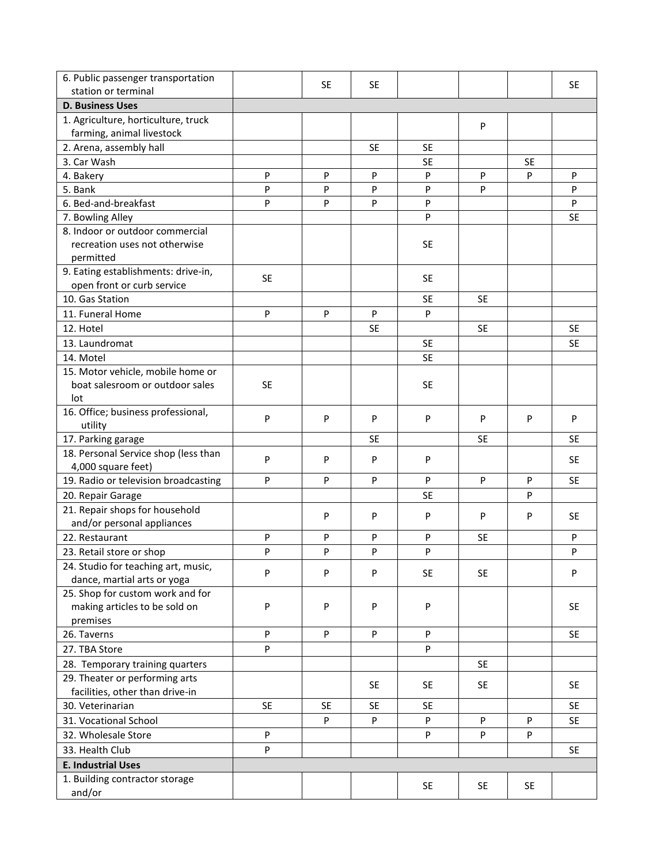| 6. Public passenger transportation                                 |           |           |           |           |           |           |           |
|--------------------------------------------------------------------|-----------|-----------|-----------|-----------|-----------|-----------|-----------|
| station or terminal                                                |           | <b>SE</b> | <b>SE</b> |           |           |           | <b>SE</b> |
| <b>D. Business Uses</b>                                            |           |           |           |           |           |           |           |
| 1. Agriculture, horticulture, truck                                |           |           |           |           | P         |           |           |
| farming, animal livestock                                          |           |           |           |           |           |           |           |
| 2. Arena, assembly hall                                            |           |           | SE        | <b>SE</b> |           |           |           |
| 3. Car Wash                                                        |           |           |           | <b>SE</b> |           | SE        |           |
| 4. Bakery                                                          | P         | P         | P         | P         | P         | P         | P         |
| 5. Bank                                                            | P         | P         | P         | P         | P         |           | P         |
| 6. Bed-and-breakfast                                               | P         | P         | P         | P         |           |           | P         |
| 7. Bowling Alley                                                   |           |           |           | P         |           |           | <b>SE</b> |
| 8. Indoor or outdoor commercial                                    |           |           |           |           |           |           |           |
| recreation uses not otherwise                                      |           |           |           | <b>SE</b> |           |           |           |
| permitted                                                          |           |           |           |           |           |           |           |
| 9. Eating establishments: drive-in,                                | <b>SE</b> |           |           | <b>SE</b> |           |           |           |
| open front or curb service                                         |           |           |           |           |           |           |           |
| 10. Gas Station                                                    |           |           |           | <b>SE</b> | <b>SE</b> |           |           |
| 11. Funeral Home                                                   | P         | P         | P         | P         |           |           |           |
| 12. Hotel                                                          |           |           | <b>SE</b> |           | <b>SE</b> |           | <b>SE</b> |
| 13. Laundromat                                                     |           |           |           | <b>SE</b> |           |           | <b>SE</b> |
| 14. Motel                                                          |           |           |           | <b>SE</b> |           |           |           |
| 15. Motor vehicle, mobile home or                                  |           |           |           |           |           |           |           |
| boat salesroom or outdoor sales                                    | <b>SE</b> |           |           | <b>SE</b> |           |           |           |
| lot                                                                |           |           |           |           |           |           |           |
| 16. Office; business professional,                                 | P         | P         | P         | P         | P         | P         | P         |
| utility                                                            |           |           |           |           |           |           |           |
| 17. Parking garage                                                 |           |           | <b>SE</b> |           | <b>SE</b> |           | <b>SE</b> |
| 18. Personal Service shop (less than<br>4,000 square feet)         | P         | P         | P         | P         |           |           | <b>SE</b> |
|                                                                    | P         | P         | P         | P         | P         | P         | <b>SE</b> |
| 19. Radio or television broadcasting                               |           |           |           | <b>SE</b> |           | P         |           |
| 20. Repair Garage                                                  |           |           |           |           |           |           |           |
| 21. Repair shops for household                                     |           | P         | P         | P         | P         | P         | <b>SE</b> |
| and/or personal appliances<br>22. Restaurant                       | P         | P         | P         | P         | <b>SE</b> |           | P         |
|                                                                    |           |           |           |           |           |           |           |
| 23. Retail store or shop                                           | P         | P         | P         | P         |           |           | P         |
| 24. Studio for teaching art, music,<br>dance, martial arts or yoga | P         | P         | P         | <b>SE</b> | <b>SE</b> |           | P         |
| 25. Shop for custom work and for                                   |           |           |           |           |           |           |           |
| making articles to be sold on                                      | P         | ${\sf P}$ | P         | P         |           |           | <b>SE</b> |
| premises                                                           |           |           |           |           |           |           |           |
| 26. Taverns                                                        | P         | P         | P         | P         |           |           | <b>SE</b> |
| 27. TBA Store                                                      | P         |           |           | P         |           |           |           |
| 28. Temporary training quarters                                    |           |           |           |           | <b>SE</b> |           |           |
| 29. Theater or performing arts                                     |           |           |           |           |           |           |           |
| facilities, other than drive-in                                    |           |           | <b>SE</b> | <b>SE</b> | <b>SE</b> |           | <b>SE</b> |
| 30. Veterinarian                                                   | <b>SE</b> | <b>SE</b> | <b>SE</b> | <b>SE</b> |           |           | <b>SE</b> |
| 31. Vocational School                                              |           | P         | P         | P         | P         | P         | <b>SE</b> |
| 32. Wholesale Store                                                | P         |           |           | P         | P         | P         |           |
|                                                                    |           |           |           |           |           |           |           |
| 33. Health Club                                                    | P         |           |           |           |           |           | <b>SE</b> |
| <b>E. Industrial Uses</b>                                          |           |           |           |           |           |           |           |
| 1. Building contractor storage                                     |           |           |           | <b>SE</b> | <b>SE</b> | <b>SE</b> |           |
| and/or                                                             |           |           |           |           |           |           |           |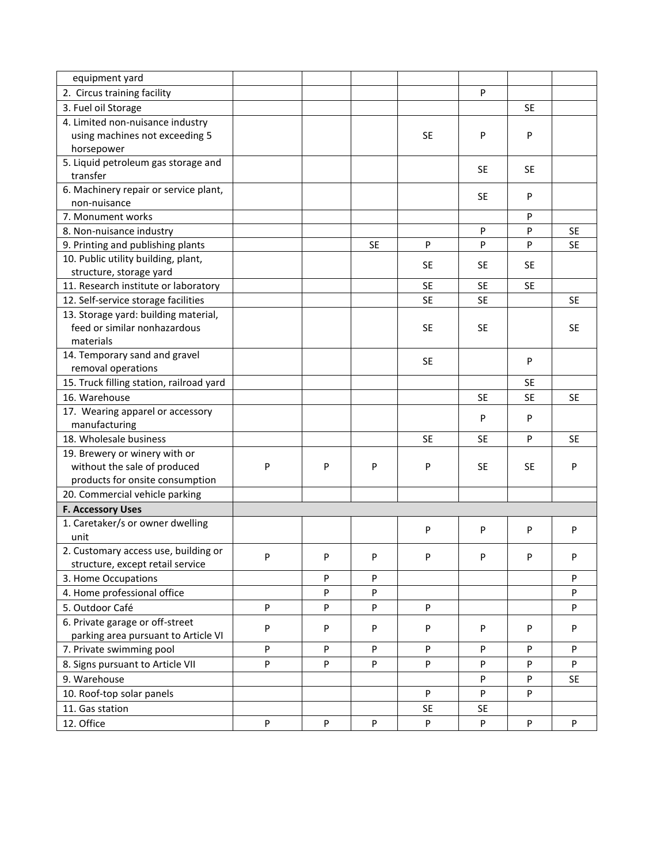| equipment yard                           |   |           |           |              |           |           |           |
|------------------------------------------|---|-----------|-----------|--------------|-----------|-----------|-----------|
| 2. Circus training facility              |   |           |           |              | P         |           |           |
| 3. Fuel oil Storage                      |   |           |           |              |           | <b>SE</b> |           |
| 4. Limited non-nuisance industry         |   |           |           |              |           |           |           |
| using machines not exceeding 5           |   |           |           | <b>SE</b>    | P         | P         |           |
| horsepower                               |   |           |           |              |           |           |           |
| 5. Liquid petroleum gas storage and      |   |           |           |              |           |           |           |
| transfer                                 |   |           |           |              | SE.       | <b>SE</b> |           |
| 6. Machinery repair or service plant,    |   |           |           |              |           |           |           |
| non-nuisance                             |   |           |           |              | <b>SE</b> | P         |           |
| 7. Monument works                        |   |           |           |              |           | P         |           |
| 8. Non-nuisance industry                 |   |           |           |              | P         | P         | <b>SE</b> |
| 9. Printing and publishing plants        |   |           | <b>SE</b> | $\mathsf{P}$ | P         | P         | <b>SE</b> |
| 10. Public utility building, plant,      |   |           |           |              |           |           |           |
| structure, storage yard                  |   |           |           | <b>SE</b>    | SE.       | <b>SE</b> |           |
| 11. Research institute or laboratory     |   |           |           | <b>SE</b>    | <b>SE</b> | <b>SE</b> |           |
| 12. Self-service storage facilities      |   |           |           | <b>SE</b>    | <b>SE</b> |           | <b>SE</b> |
| 13. Storage yard: building material,     |   |           |           |              |           |           |           |
| feed or similar nonhazardous             |   |           |           | <b>SE</b>    | <b>SE</b> |           | <b>SE</b> |
| materials                                |   |           |           |              |           |           |           |
| 14. Temporary sand and gravel            |   |           |           | <b>SE</b>    |           | P         |           |
| removal operations                       |   |           |           |              |           |           |           |
| 15. Truck filling station, railroad yard |   |           |           |              |           | <b>SE</b> |           |
| 16. Warehouse                            |   |           |           |              | <b>SE</b> | <b>SE</b> | <b>SE</b> |
| 17. Wearing apparel or accessory         |   |           |           |              | P         |           |           |
| manufacturing                            |   |           |           |              |           | P         |           |
| 18. Wholesale business                   |   |           |           | <b>SE</b>    | <b>SE</b> | P         | <b>SE</b> |
| 19. Brewery or winery with or            |   |           |           |              |           |           |           |
| without the sale of produced             | P | P         | P         | ${\sf P}$    | <b>SE</b> | <b>SE</b> | P         |
| products for onsite consumption          |   |           |           |              |           |           |           |
| 20. Commercial vehicle parking           |   |           |           |              |           |           |           |
| <b>F. Accessory Uses</b>                 |   |           |           |              |           |           |           |
| 1. Caretaker/s or owner dwelling         |   |           |           |              |           |           |           |
| unit                                     |   |           |           | P            | P         | P         | P         |
| 2. Customary access use, building or     | P | P         | P         | P            | P         | P         | P         |
| structure, except retail service         |   |           |           |              |           |           |           |
| 3. Home Occupations                      |   | P         | P         |              |           |           | P         |
| 4. Home professional office              |   | P         | P         |              |           |           | P         |
| 5. Outdoor Café                          | P | ${\sf P}$ | P         | P            |           |           | P         |
| 6. Private garage or off-street          |   |           |           |              |           |           |           |
| parking area pursuant to Article VI      | P | P         | P         | P            | P         | P         | P         |
| 7. Private swimming pool                 | P | P         | P         | P            | P         | P         | P         |
| 8. Signs pursuant to Article VII         | P | P         | P         | P            | P         | P         | P         |
| 9. Warehouse                             |   |           |           |              | P         | P         | SE        |
| 10. Roof-top solar panels                |   |           |           | P            | P         | P         |           |
| 11. Gas station                          |   |           |           | <b>SE</b>    | <b>SE</b> |           |           |
| 12. Office                               | P | P         | P         | ${\sf P}$    | P         | P         | P         |